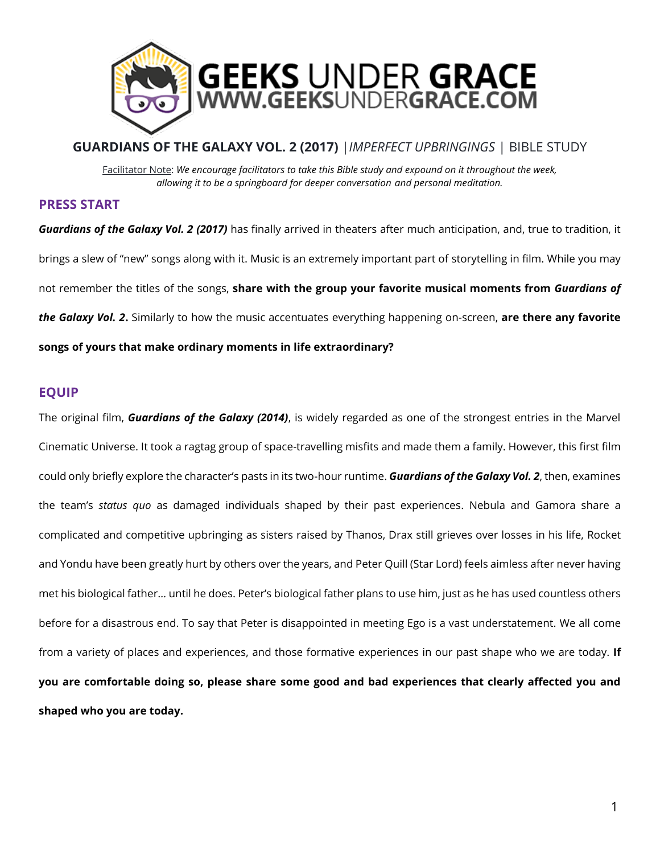

# **GUARDIANS OF THE GALAXY VOL. 2 (2017)** |*IMPERFECT UPBRINGINGS* | BIBLE STUDY Facilitator Note: *We encourage facilitators to take this Bible study and expound on it throughout the week, allowing it to be a springboard for deeper conversation and personal meditation.*

#### **PRESS START**

*Guardians of the Galaxy Vol. 2 (2017)* has finally arrived in theaters after much anticipation, and, true to tradition, it brings a slew of "new" songs along with it. Music is an extremely important part of storytelling in film. While you may not remember the titles of the songs, **share with the group your favorite musical moments from** *Guardians of the Galaxy Vol. 2***.** Similarly to how the music accentuates everything happening on-screen, **are there any favorite songs of yours that make ordinary moments in life extraordinary?**

# **EQUIP**

The original film, *Guardians of the Galaxy (2014)*, is widely regarded as one of the strongest entries in the Marvel Cinematic Universe. It took a ragtag group of space-travelling misfits and made them a family. However, this first film could only briefly explore the character's pasts in its two-hour runtime. *Guardians of the Galaxy Vol. 2*, then, examines the team's *status quo* as damaged individuals shaped by their past experiences. Nebula and Gamora share a complicated and competitive upbringing as sisters raised by Thanos, Drax still grieves over losses in his life, Rocket and Yondu have been greatly hurt by others over the years, and Peter Quill (Star Lord) feels aimless after never having met his biological father… until he does. Peter's biological father plans to use him, just as he has used countless others before for a disastrous end. To say that Peter is disappointed in meeting Ego is a vast understatement. We all come from a variety of places and experiences, and those formative experiences in our past shape who we are today. **If you are comfortable doing so, please share some good and bad experiences that clearly affected you and shaped who you are today.**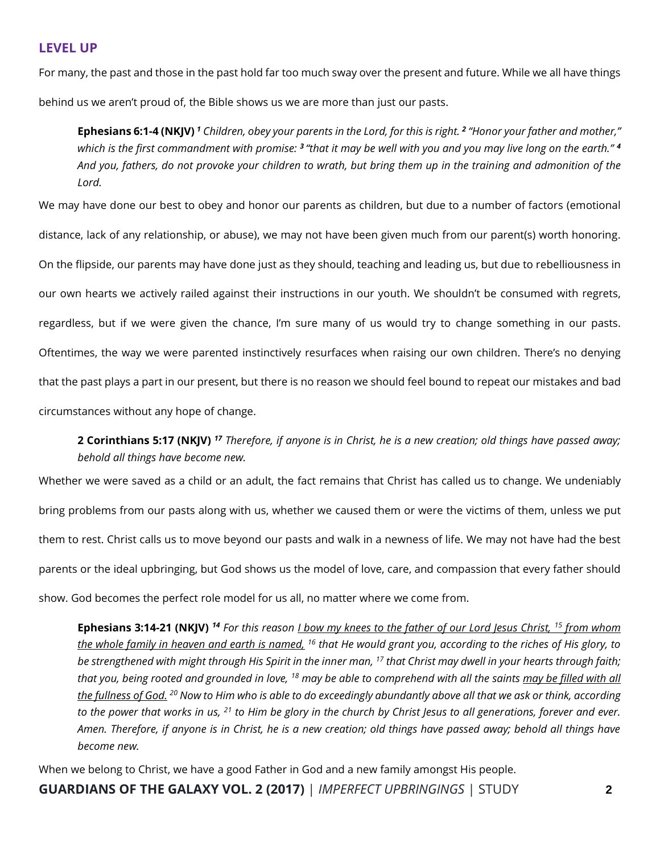#### **LEVEL UP**

For many, the past and those in the past hold far too much sway over the present and future. While we all have things behind us we aren't proud of, the Bible shows us we are more than just our pasts.

**Ephesians 6:1-4 (NKJV)** *<sup>1</sup> Children, obey your parents in the Lord, for this is right. <sup>2</sup> "Honor your father and mother," which is the first commandment with promise: <sup>3</sup>"that it may be well with you and you may live long on the earth." <sup>4</sup> And you, fathers, do not provoke your children to wrath, but bring them up in the training and admonition of the Lord.*

We may have done our best to obey and honor our parents as children, but due to a number of factors (emotional distance, lack of any relationship, or abuse), we may not have been given much from our parent(s) worth honoring. On the flipside, our parents may have done just as they should, teaching and leading us, but due to rebelliousness in our own hearts we actively railed against their instructions in our youth. We shouldn't be consumed with regrets, regardless, but if we were given the chance, I'm sure many of us would try to change something in our pasts. Oftentimes, the way we were parented instinctively resurfaces when raising our own children. There's no denying that the past plays a part in our present, but there is no reason we should feel bound to repeat our mistakes and bad circumstances without any hope of change.

# **2 Corinthians 5:17 (NKJV)** *<sup>17</sup> Therefore, if anyone is in Christ, he is a new creation; old things have passed away; behold all things have become new.*

Whether we were saved as a child or an adult, the fact remains that Christ has called us to change. We undeniably bring problems from our pasts along with us, whether we caused them or were the victims of them, unless we put them to rest. Christ calls us to move beyond our pasts and walk in a newness of life. We may not have had the best parents or the ideal upbringing, but God shows us the model of love, care, and compassion that every father should show. God becomes the perfect role model for us all, no matter where we come from.

**Ephesians 3:14-21 (NKJV)** *<sup>14</sup> For this reason I bow my knees to the father of our Lord Jesus Christ, <sup>15</sup> from whom the whole family in heaven and earth is named, <sup>16</sup> that He would grant you, according to the riches of His glory, to be strengthened with might through His Spirit in the inner man, <sup>17</sup> that Christ may dwell in your hearts through faith; that you, being rooted and grounded in love, <sup>18</sup> may be able to comprehend with all the saints may be filled with all the fullness of God. <sup>20</sup> Now to Him who is able to do exceedingly abundantly above all that we ask or think, according to the power that works in us, <sup>21</sup> to Him be glory in the church by Christ Jesus to all generations, forever and ever. Amen. Therefore, if anyone is in Christ, he is a new creation; old things have passed away; behold all things have become new.*

When we belong to Christ, we have a good Father in God and a new family amongst His people.

**GUARDIANS OF THE GALAXY VOL. 2 (2017)** | *IMPERFECT UPBRINGINGS* | STUDY **2**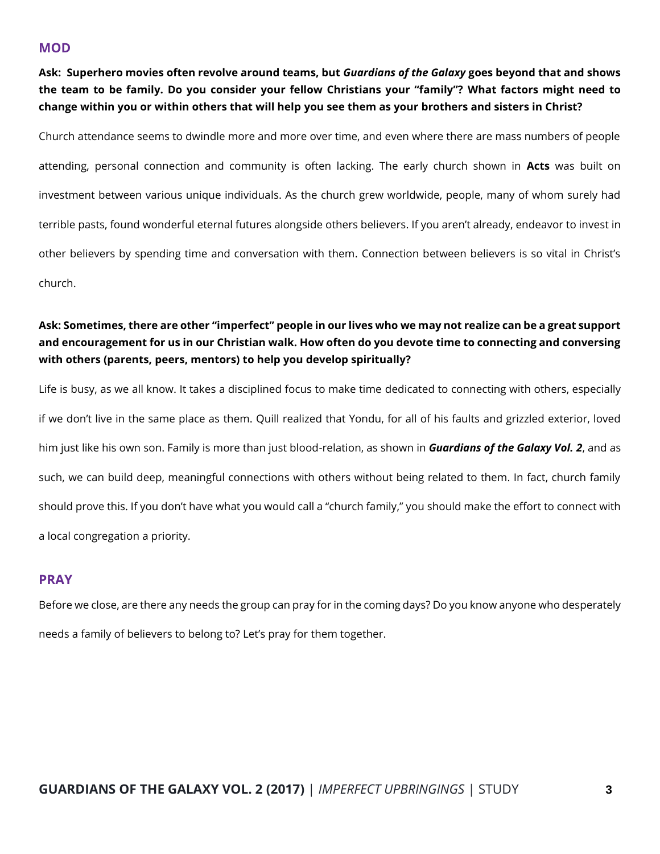#### **MOD**

**Ask: Superhero movies often revolve around teams, but** *Guardians of the Galaxy* **goes beyond that and shows the team to be family. Do you consider your fellow Christians your "family"? What factors might need to change within you or within others that will help you see them as your brothers and sisters in Christ?**

Church attendance seems to dwindle more and more over time, and even where there are mass numbers of people attending, personal connection and community is often lacking. The early church shown in **Acts** was built on investment between various unique individuals. As the church grew worldwide, people, many of whom surely had terrible pasts, found wonderful eternal futures alongside others believers. If you aren't already, endeavor to invest in other believers by spending time and conversation with them. Connection between believers is so vital in Christ's church.

## **Ask: Sometimes, there are other "imperfect" people in our lives who we may not realize can be a great support and encouragement for us in our Christian walk. How often do you devote time to connecting and conversing with others (parents, peers, mentors) to help you develop spiritually?**

Life is busy, as we all know. It takes a disciplined focus to make time dedicated to connecting with others, especially if we don't live in the same place as them. Quill realized that Yondu, for all of his faults and grizzled exterior, loved him just like his own son. Family is more than just blood-relation, as shown in *Guardians of the Galaxy Vol. 2*, and as such, we can build deep, meaningful connections with others without being related to them. In fact, church family should prove this. If you don't have what you would call a "church family," you should make the effort to connect with a local congregation a priority.

## **PRAY**

Before we close, are there any needs the group can pray for in the coming days? Do you know anyone who desperately needs a family of believers to belong to? Let's pray for them together.